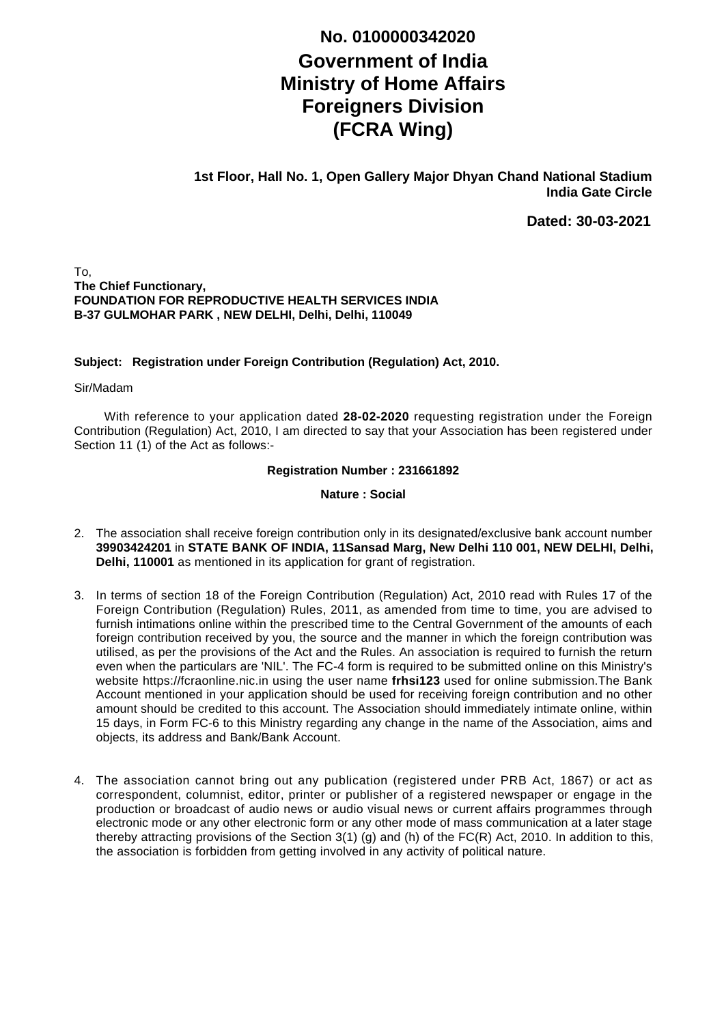## **Government of India Ministry of Home Affairs Foreigners Division (FCRA Wing) No. 0100000342020**

**1st Floor, Hall No. 1, Open Gallery Major Dhyan Chand National Stadium India Gate Circle**

**Dated: 30-03-2021**

To, **The Chief Functionary, FOUNDATION FOR REPRODUCTIVE HEALTH SERVICES INDIA B-37 GULMOHAR PARK , NEW DELHI, Delhi, Delhi, 110049**

## **Subject: Registration under Foreign Contribution (Regulation) Act, 2010.**

Sir/Madam

With reference to your application dated 28-02-2020 requesting registration under the Foreign Contribution (Regulation) Act, 2010, I am directed to say that your Association has been registered under Section 11 (1) of the Act as follows:-

**Registration Number : 231661892**

**Nature : Social**

- 2. The association shall receive foreign contribution only in its designated/exclusive bank account number **39903424201** in **STATE BANK OF INDIA, 11Sansad Marg, New Delhi 110 001, NEW DELHI, Delhi, Delhi, 110001** as mentioned in its application for grant of registration.
- 3. In terms of section 18 of the Foreign Contribution (Regulation) Act, 2010 read with Rules 17 of the Foreign Contribution (Regulation) Rules, 2011, as amended from time to time, you are advised to furnish intimations online within the prescribed time to the Central Government of the amounts of each foreign contribution received by you, the source and the manner in which the foreign contribution was utilised, as per the provisions of the Act and the Rules. An association is required to furnish the return even when the particulars are 'NIL'. The FC-4 form is required to be submitted online on this Ministry's website https://fcraonline.nic.in using the user name **frhsi123** used for online submission.The Bank Account mentioned in your application should be used for receiving foreign contribution and no other amount should be credited to this account. The Association should immediately intimate online, within 15 days, in Form FC-6 to this Ministry regarding any change in the name of the Association, aims and objects, its address and Bank/Bank Account.
- 4. The association cannot bring out any publication (registered under PRB Act, 1867) or act as correspondent, columnist, editor, printer or publisher of a registered newspaper or engage in the production or broadcast of audio news or audio visual news or current affairs programmes through electronic mode or any other electronic form or any other mode of mass communication at a later stage thereby attracting provisions of the Section 3(1) (g) and (h) of the FC(R) Act, 2010. In addition to this, the association is forbidden from getting involved in any activity of political nature.